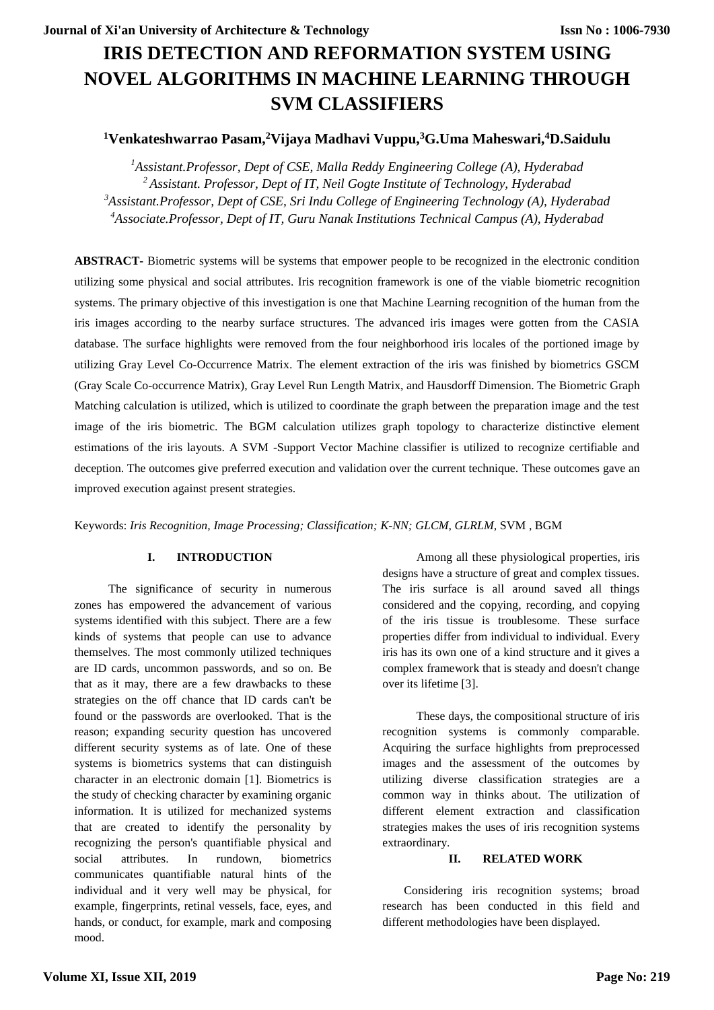# **IRIS DETECTION AND REFORMATION SYSTEM USING NOVEL ALGORITHMS IN MACHINE LEARNING THROUGH SVM CLASSIFIERS**

## **<sup>1</sup>Venkateshwarrao Pasam,<sup>2</sup>Vijaya Madhavi Vuppu,<sup>3</sup>G.Uma Maheswari,<sup>4</sup>D.Saidulu**

*Assistant.Professor, Dept of CSE, Malla Reddy Engineering College (A), Hyderabad Assistant. Professor, Dept of IT, Neil Gogte Institute of Technology, Hyderabad Assistant.Professor, Dept of CSE, Sri Indu College of Engineering Technology (A), Hyderabad Associate.Professor, Dept of IT, Guru Nanak Institutions Technical Campus (A), Hyderabad*

**ABSTRACT-** Biometric systems will be systems that empower people to be recognized in the electronic condition utilizing some physical and social attributes. Iris recognition framework is one of the viable biometric recognition systems. The primary objective of this investigation is one that Machine Learning recognition of the human from the iris images according to the nearby surface structures. The advanced iris images were gotten from the CASIA database. The surface highlights were removed from the four neighborhood iris locales of the portioned image by utilizing Gray Level Co-Occurrence Matrix. The element extraction of the iris was finished by biometrics GSCM (Gray Scale Co-occurrence Matrix), Gray Level Run Length Matrix, and Hausdorff Dimension. The Biometric Graph Matching calculation is utilized, which is utilized to coordinate the graph between the preparation image and the test image of the iris biometric. The BGM calculation utilizes graph topology to characterize distinctive element estimations of the iris layouts. A SVM -Support Vector Machine classifier is utilized to recognize certifiable and deception. The outcomes give preferred execution and validation over the current technique. These outcomes gave an improved execution against present strategies.

Keywords: *Iris Recognition, Image Processing; Classification; K-NN; GLCM, GLRLM,* SVM , BGM

## **I. INTRODUCTION**

The significance of security in numerous zones has empowered the advancement of various systems identified with this subject. There are a few kinds of systems that people can use to advance themselves. The most commonly utilized techniques are ID cards, uncommon passwords, and so on. Be that as it may, there are a few drawbacks to these strategies on the off chance that ID cards can't be found or the passwords are overlooked. That is the reason; expanding security question has uncovered different security systems as of late. One of these systems is biometrics systems that can distinguish character in an electronic domain [1]. Biometrics is the study of checking character by examining organic information. It is utilized for mechanized systems that are created to identify the personality by recognizing the person's quantifiable physical and social attributes. In rundown, biometrics communicates quantifiable natural hints of the individual and it very well may be physical, for example, fingerprints, retinal vessels, face, eyes, and hands, or conduct, for example, mark and composing mood.

Among all these physiological properties, iris designs have a structure of great and complex tissues. The iris surface is all around saved all things considered and the copying, recording, and copying of the iris tissue is troublesome. These surface properties differ from individual to individual. Every iris has its own one of a kind structure and it gives a complex framework that is steady and doesn't change over its lifetime [3].

These days, the compositional structure of iris recognition systems is commonly comparable. Acquiring the surface highlights from preprocessed images and the assessment of the outcomes by utilizing diverse classification strategies are a common way in thinks about. The utilization of different element extraction and classification strategies makes the uses of iris recognition systems extraordinary.

## **II. RELATED WORK**

Considering iris recognition systems; broad research has been conducted in this field and different methodologies have been displayed.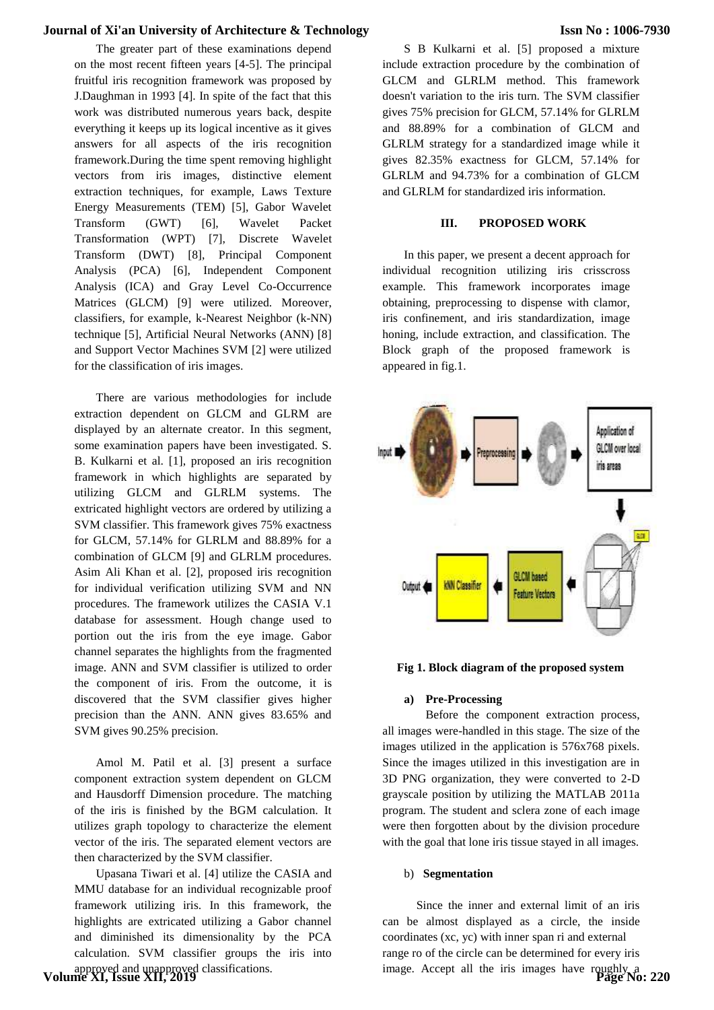The greater part of these examinations depend on the most recent fifteen years [4-5]. The principal fruitful iris recognition framework was proposed by J.Daughman in 1993 [4]. In spite of the fact that this work was distributed numerous years back, despite everything it keeps up its logical incentive as it gives answers for all aspects of the iris recognition framework.During the time spent removing highlight vectors from iris images, distinctive element extraction techniques, for example, Laws Texture Energy Measurements (TEM) [5], Gabor Wavelet Transform (GWT) [6], Wavelet Packet Transformation (WPT) [7], Discrete Wavelet Transform (DWT) [8], Principal Component Analysis (PCA) [6], Independent Component Analysis (ICA) and Gray Level Co-Occurrence Matrices (GLCM) [9] were utilized. Moreover, classifiers, for example, k-Nearest Neighbor (k-NN) technique [5], Artificial Neural Networks (ANN) [8] and Support Vector Machines SVM [2] were utilized for the classification of iris images.

There are various methodologies for include extraction dependent on GLCM and GLRM are displayed by an alternate creator. In this segment, some examination papers have been investigated. S. B. Kulkarni et al. [1], proposed an iris recognition framework in which highlights are separated by utilizing GLCM and GLRLM systems. The extricated highlight vectors are ordered by utilizing a SVM classifier. This framework gives 75% exactness for GLCM, 57.14% for GLRLM and 88.89% for a combination of GLCM [9] and GLRLM procedures. Asim Ali Khan et al. [2], proposed iris recognition for individual verification utilizing SVM and NN procedures. The framework utilizes the CASIA V.1 database for assessment. Hough change used to portion out the iris from the eye image. Gabor channel separates the highlights from the fragmented image. ANN and SVM classifier is utilized to order the component of iris. From the outcome, it is discovered that the SVM classifier gives higher precision than the ANN. ANN gives 83.65% and SVM gives 90.25% precision.

Amol M. Patil et al. [3] present a surface component extraction system dependent on GLCM and Hausdorff Dimension procedure. The matching of the iris is finished by the BGM calculation. It utilizes graph topology to characterize the element vector of the iris. The separated element vectors are then characterized by the SVM classifier.

Upasana Tiwari et al. [4] utilize the CASIA and MMU database for an individual recognizable proof framework utilizing iris. In this framework, the highlights are extricated utilizing a Gabor channel and diminished its dimensionality by the PCA calculation. SVM classifier groups the iris into approved and unapproved classifications. **Volume XI, Issue XII, 2019**

S B Kulkarni et al. [5] proposed a mixture include extraction procedure by the combination of GLCM and GLRLM method. This framework doesn't variation to the iris turn. The SVM classifier gives 75% precision for GLCM, 57.14% for GLRLM and 88.89% for a combination of GLCM and GLRLM strategy for a standardized image while it gives 82.35% exactness for GLCM, 57.14% for GLRLM and 94.73% for a combination of GLCM and GLRLM for standardized iris information.

#### **III. PROPOSED WORK**

In this paper, we present a decent approach for individual recognition utilizing iris crisscross example. This framework incorporates image obtaining, preprocessing to dispense with clamor, iris confinement, and iris standardization, image honing, include extraction, and classification. The Block graph of the proposed framework is appeared in fig.1.



**Fig 1. Block diagram of the proposed system**

#### **a) Pre-Processing**

Before the component extraction process, all images were-handled in this stage. The size of the images utilized in the application is 576x768 pixels. Since the images utilized in this investigation are in 3D PNG organization, they were converted to 2-D grayscale position by utilizing the MATLAB 2011a program. The student and sclera zone of each image were then forgotten about by the division procedure with the goal that lone iris tissue stayed in all images.

#### b) **Segmentation**

Since the inner and external limit of an iris can be almost displayed as a circle, the inside coordinates (xc, yc) with inner span ri and external range ro of the circle can be determined for every iris image. Accept all the iris images have roughly a **Page No: 220**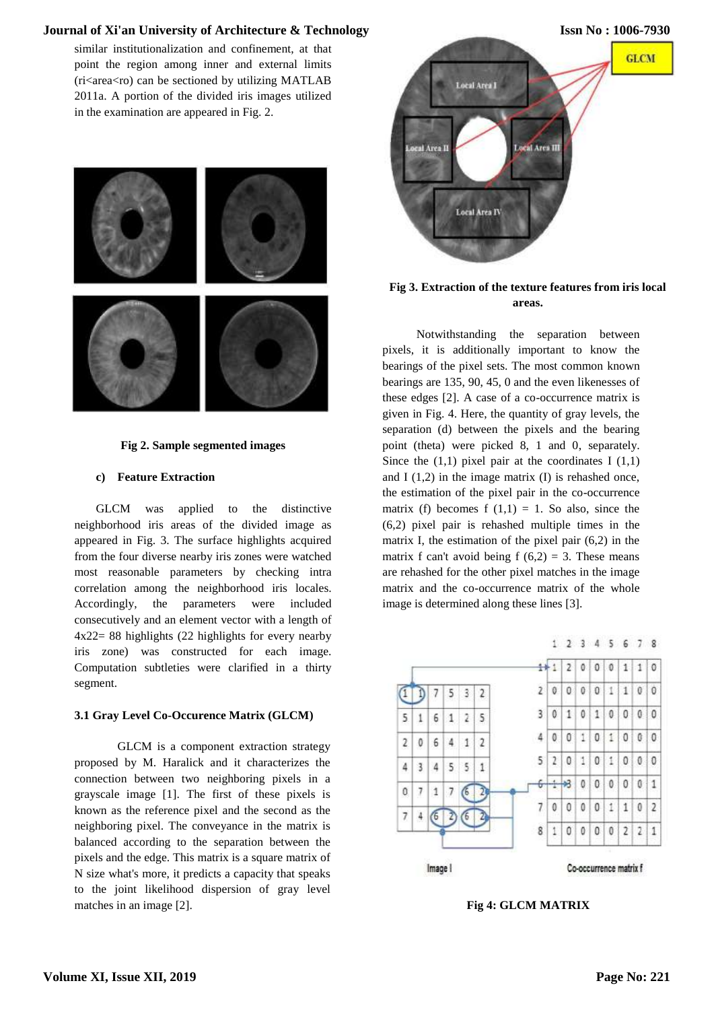similar institutionalization and confinement, at that point the region among inner and external limits  $(r$ i $\langle$ area $\langle$ ro) can be sectioned by utilizing MATLAB 2011a. A portion of the divided iris images utilized in the examination are appeared in Fig. 2.





#### **c) Feature Extraction**

GLCM was applied to the distinctive neighborhood iris areas of the divided image as appeared in Fig. 3. The surface highlights acquired from the four diverse nearby iris zones were watched most reasonable parameters by checking intra correlation among the neighborhood iris locales. Accordingly, the parameters were included consecutively and an element vector with a length of 4x22= 88 highlights (22 highlights for every nearby iris zone) was constructed for each image. Computation subtleties were clarified in a thirty segment.

#### **3.1 Gray Level Co-Occurence Matrix (GLCM)**

GLCM is a component extraction strategy proposed by M. Haralick and it characterizes the connection between two neighboring pixels in a grayscale image [1]. The first of these pixels is known as the reference pixel and the second as the neighboring pixel. The conveyance in the matrix is balanced according to the separation between the pixels and the edge. This matrix is a square matrix of N size what's more, it predicts a capacity that speaks to the joint likelihood dispersion of gray level matches in an image [2].



## **Fig 3. Extraction of the texture features from iris local areas.**

Notwithstanding the separation between pixels, it is additionally important to know the bearings of the pixel sets. The most common known bearings are 135, 90, 45, 0 and the even likenesses of these edges [2]. A case of a co-occurrence matrix is given in Fig. 4. Here, the quantity of gray levels, the separation (d) between the pixels and the bearing point (theta) were picked 8, 1 and 0, separately. Since the  $(1,1)$  pixel pair at the coordinates I  $(1,1)$ and  $I(1,2)$  in the image matrix  $(I)$  is rehashed once, the estimation of the pixel pair in the co-occurrence matrix (f) becomes f  $(1,1) = 1$ . So also, since the (6,2) pixel pair is rehashed multiple times in the matrix I, the estimation of the pixel pair (6,2) in the matrix f can't avoid being f  $(6,2) = 3$ . These means are rehashed for the other pixel matches in the image matrix and the co-occurrence matrix of the whole image is determined along these lines [3].



**Fig 4: GLCM MATRIX**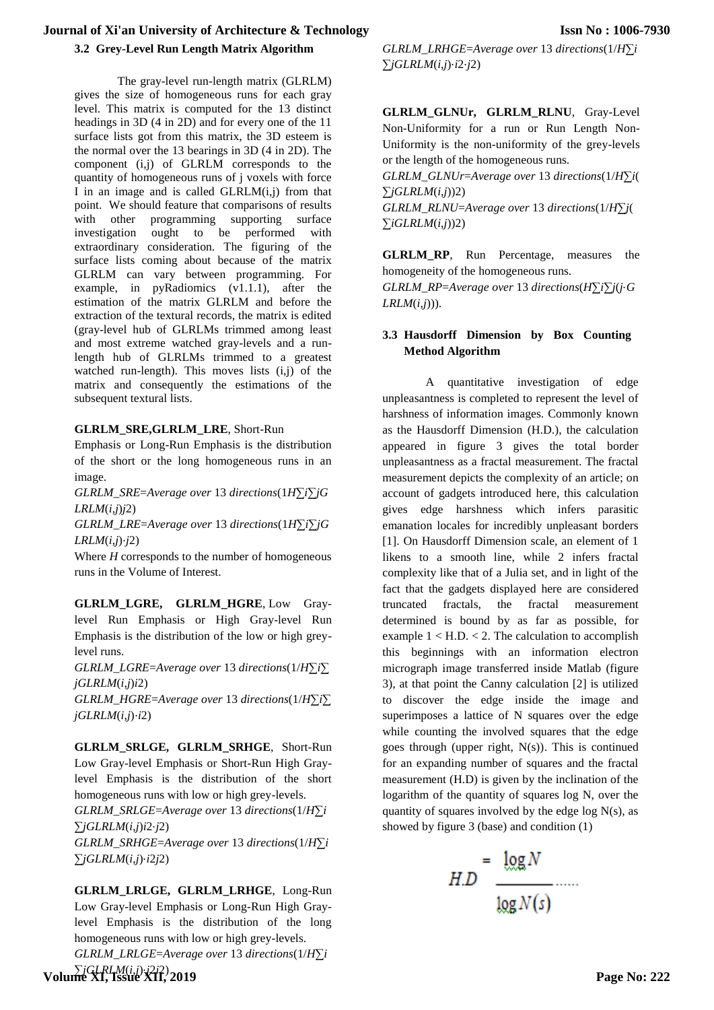## **3.2 Grey-Level Run Length Matrix Algorithm**

The gray-level run-length matrix (GLRLM) gives the size of homogeneous runs for each gray level. This matrix is computed for the 13 distinct headings in 3D (4 in 2D) and for every one of the 11 surface lists got from this matrix, the 3D esteem is the normal over the 13 bearings in 3D (4 in 2D). The component (i,j) of GLRLM corresponds to the quantity of homogeneous runs of j voxels with force I in an image and is called  $GLRLM(i,j)$  from that point. We should feature that comparisons of results with other programming supporting surface investigation ought to be performed with extraordinary consideration. The figuring of the surface lists coming about because of the matrix GLRLM can vary between programming. For example, in pyRadiomics (v1.1.1), after the estimation of the matrix GLRLM and before the extraction of the textural records, the matrix is edited (gray-level hub of GLRLMs trimmed among least and most extreme watched gray-levels and a runlength hub of GLRLMs trimmed to a greatest watched run-length). This moves lists (i,j) of the matrix and consequently the estimations of the subsequent textural lists.

## **GLRLM\_SRE,GLRLM\_LRE**, Short-Run

Emphasis or Long-Run Emphasis is the distribution of the short or the long homogeneous runs in an image.

*GLRLM SRE*=*Average over* 13 *directions*( $1H\overline{\Sigma}i\overline{\Sigma}jG$ *LRLM*(*i*,*j*)*j*2)

*GLRLM*\_*LRE*=*Average over* 13 *directions*(1*H*∑*i*∑*jG LRLM*(*i*,*j*)⋅*j*2)

Where *H* corresponds to the number of homogeneous runs in the Volume of Interest.

**GLRLM\_LGRE, GLRLM\_HGRE**, Low Graylevel Run Emphasis or High Gray-level Run Emphasis is the distribution of the low or high greylevel runs.

*GLRLM*\_*LGRE*=*Average over* 13 *directions*(1/*H*∑*i*∑ *jGLRLM*(*i*,*j*)*i*2)

*GLRLM*\_*HGRE*=*Average over* 13 *directions*(1/*H*∑*i*∑ *jGLRLM*(*i*,*j*)⋅*i*2)

**GLRLM\_SRLGE, GLRLM\_SRHGE**, Short-Run Low Gray-level Emphasis or Short-Run High Graylevel Emphasis is the distribution of the short homogeneous runs with low or high grey-levels. *GLRLM*\_*SRLGE*=*Average over* 13 *directions*(1/*H*∑*i*

∑*jGLRLM*(*i*,*j*)*i*2⋅*j*2)

*GLRLM*\_*SRHGE*=*Average over* 13 *directions*(1/*H*∑*i* ∑*jGLRLM*(*i*,*j*)⋅*i*2*j*2)

**GLRLM\_LRLGE, GLRLM\_LRHGE**, Long-Run Low Gray-level Emphasis or Long-Run High Graylevel Emphasis is the distribution of the long homogeneous runs with low or high grey-levels. *GLRLM*\_*LRLGE*=*Average over* 13 *directions*(1/*H*∑*i*

*GLRLM*\_*LRHGE*=*Average over* 13 *directions*(1/*H*∑*i* ∑*jGLRLM*(*i*,*j*)⋅*i*2⋅*j*2)

**GLRLM\_GLNUr, GLRLM\_RLNU**, Gray-Level Non-Uniformity for a run or Run Length Non-Uniformity is the non-uniformity of the grey-levels or the length of the homogeneous runs.

*GLRLM*\_*GLNUr*=*Average over* 13 *directions*(1/*H*∑*i*( ∑*jGLRLM*(*i*,*j*))2) *GLRLM*\_*RLNU*=*Average over* 13 *directions*(1/*H*∑*j*(

 $∑iGLRLM(i,j))2)$ 

**GLRLM\_RP**, Run Percentage, measures the homogeneity of the homogeneous runs. *GLRLM*\_*RP*=*Average over* 13 *directions*(*H*∑*i*∑*j*(*j*⋅*G LRLM*(*i*,*j*))).

## **3.3 Hausdorff Dimension by Box Counting Method Algorithm**

A quantitative investigation of edge unpleasantness is completed to represent the level of harshness of information images. Commonly known as the Hausdorff Dimension (H.D.), the calculation appeared in figure 3 gives the total border unpleasantness as a fractal measurement. The fractal measurement depicts the complexity of an article; on account of gadgets introduced here, this calculation gives edge harshness which infers parasitic emanation locales for incredibly unpleasant borders [1]. On Hausdorff Dimension scale, an element of 1 likens to a smooth line, while 2 infers fractal complexity like that of a Julia set, and in light of the fact that the gadgets displayed here are considered truncated fractals, the fractal measurement determined is bound by as far as possible, for example  $1 < H.D. < 2$ . The calculation to accomplish this beginnings with an information electron micrograph image transferred inside Matlab (figure 3), at that point the Canny calculation [2] is utilized to discover the edge inside the image and superimposes a lattice of N squares over the edge while counting the involved squares that the edge goes through (upper right, N(s)). This is continued for an expanding number of squares and the fractal measurement (H.D) is given by the inclination of the logarithm of the quantity of squares log N, over the quantity of squares involved by the edge log  $N(s)$ , as showed by figure 3 (base) and condition (1)

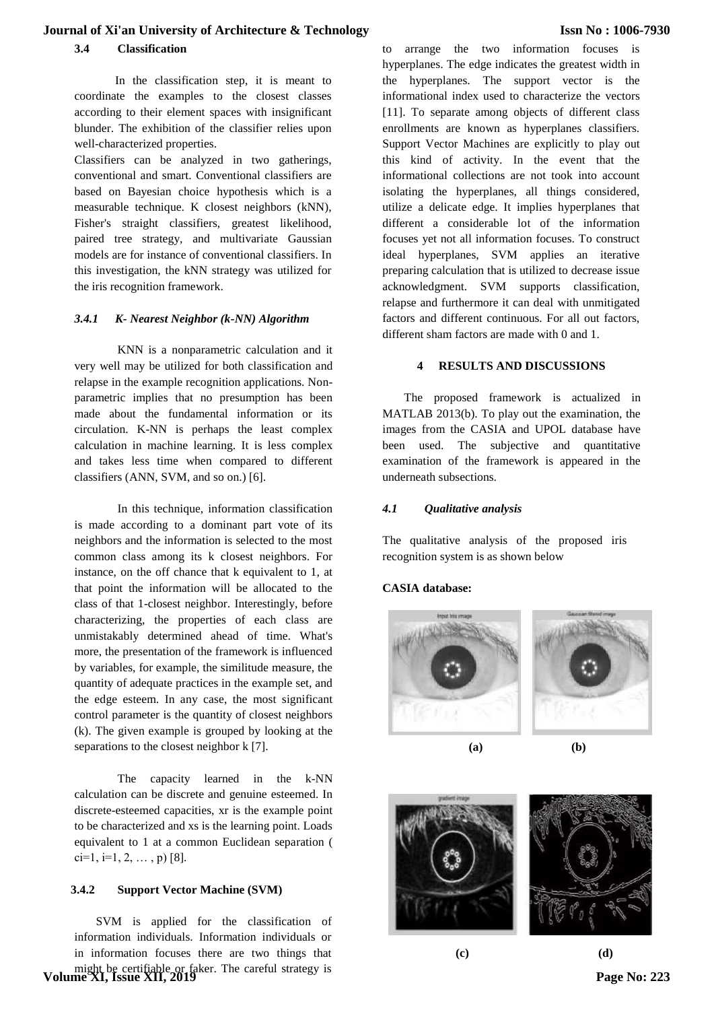**3.4 Classification**

In the classification step, it is meant to coordinate the examples to the closest classes according to their element spaces with insignificant blunder. The exhibition of the classifier relies upon well-characterized properties.

Classifiers can be analyzed in two gatherings, conventional and smart. Conventional classifiers are based on Bayesian choice hypothesis which is a measurable technique. K closest neighbors (kNN), Fisher's straight classifiers, greatest likelihood, paired tree strategy, and multivariate Gaussian models are for instance of conventional classifiers. In this investigation, the kNN strategy was utilized for the iris recognition framework.

#### *3.4.1 K- Nearest Neighbor (k-NN) Algorithm*

KNN is a nonparametric calculation and it very well may be utilized for both classification and relapse in the example recognition applications. Nonparametric implies that no presumption has been made about the fundamental information or its circulation. K-NN is perhaps the least complex calculation in machine learning. It is less complex and takes less time when compared to different classifiers (ANN, SVM, and so on.) [6].

In this technique, information classification is made according to a dominant part vote of its neighbors and the information is selected to the most common class among its k closest neighbors. For instance, on the off chance that k equivalent to 1, at that point the information will be allocated to the class of that 1-closest neighbor. Interestingly, before characterizing, the properties of each class are unmistakably determined ahead of time. What's more, the presentation of the framework is influenced by variables, for example, the similitude measure, the quantity of adequate practices in the example set, and the edge esteem. In any case, the most significant control parameter is the quantity of closest neighbors (k). The given example is grouped by looking at the separations to the closest neighbor k [7].

The capacity learned in the k-NN calculation can be discrete and genuine esteemed. In discrete-esteemed capacities, xr is the example point to be characterized and xs is the learning point. Loads equivalent to 1 at a common Euclidean separation (  $ci=1, i=1, 2, \ldots, p)$  [8].

#### **3.4.2 Support Vector Machine (SVM)**

SVM is applied for the classification of information individuals. Information individuals or in information focuses there are two things that might be certifiable or faker. The careful strategy is **Volume XI, Issue XII, 2019** to arrange the two information focuses is hyperplanes. The edge indicates the greatest width in the hyperplanes. The support vector is the informational index used to characterize the vectors [11]. To separate among objects of different class enrollments are known as hyperplanes classifiers. Support Vector Machines are explicitly to play out this kind of activity. In the event that the informational collections are not took into account isolating the hyperplanes, all things considered, utilize a delicate edge. It implies hyperplanes that different a considerable lot of the information focuses yet not all information focuses. To construct ideal hyperplanes, SVM applies an iterative preparing calculation that is utilized to decrease issue acknowledgment. SVM supports classification, relapse and furthermore it can deal with unmitigated factors and different continuous. For all out factors, different sham factors are made with 0 and 1.

## **4 RESULTS AND DISCUSSIONS**

The proposed framework is actualized in MATLAB 2013(b). To play out the examination, the images from the CASIA and UPOL database have been used. The subjective and quantitative examination of the framework is appeared in the underneath subsections.

#### *4.1 Qualitative analysis*

The qualitative analysis of the proposed iris recognition system is as shown below

#### **CASIA database:**



**(a) (b)**



 **(c) (d) Page No: 223**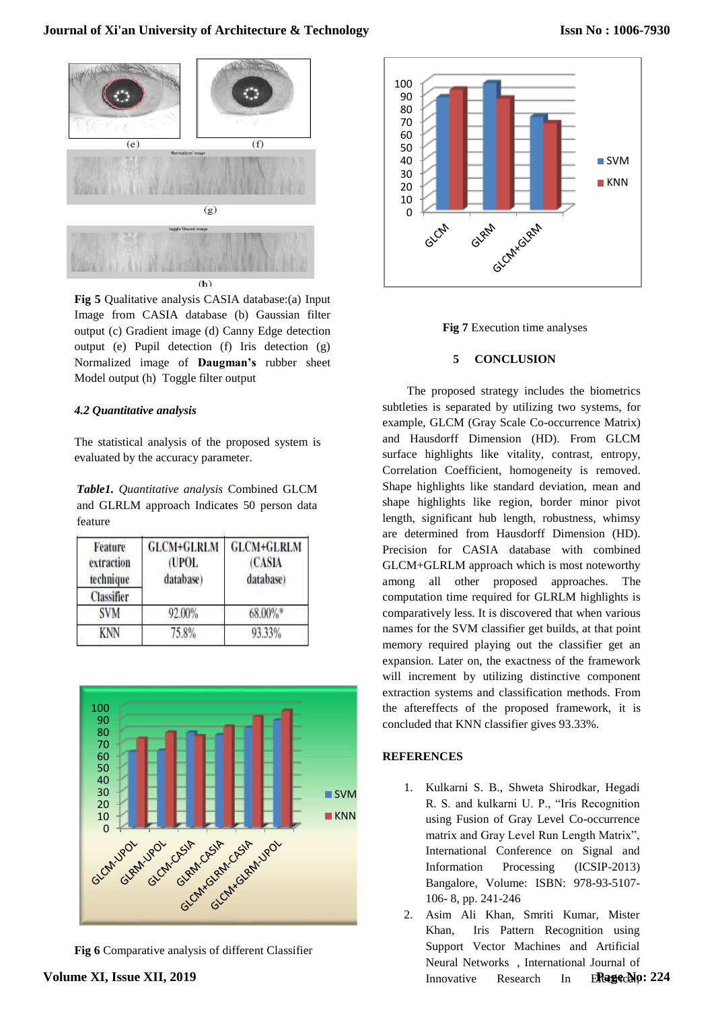

**Fig 5** Qualitative analysis CASIA database:(a) Input Image from CASIA database (b) Gaussian filter output (c) Gradient image (d) Canny Edge detection output (e) Pupil detection (f) Iris detection (g) Normalized image of **Daugman's** rubber sheet Model output (h) Toggle filter output

#### *4.2 Quantitative analysis*

The statistical analysis of the proposed system is evaluated by the accuracy parameter.

*Table1. Quantitative analysis* Combined GLCM and GLRLM approach Indicates 50 person data feature

| Feature<br>extraction<br>technique | <b>GLCM+GLRLM</b><br>(UPOL<br>database) | <b>GLCM+GLRLM</b><br>(CASIA<br>database) |
|------------------------------------|-----------------------------------------|------------------------------------------|
| <b>Classifier</b>                  |                                         |                                          |
| <b>SVM</b>                         | 92.00%                                  | 68.00%*                                  |
| <b>KNN</b>                         | 75.8%                                   | 93.33%                                   |



**Fig 6** Comparative analysis of different Classifier





#### **5 CONCLUSION**

The proposed strategy includes the biometrics subtleties is separated by utilizing two systems, for example, GLCM (Gray Scale Co-occurrence Matrix) and Hausdorff Dimension (HD). From GLCM surface highlights like vitality, contrast, entropy, Correlation Coefficient, homogeneity is removed. Shape highlights like standard deviation, mean and shape highlights like region, border minor pivot length, significant hub length, robustness, whimsy are determined from Hausdorff Dimension (HD). Precision for CASIA database with combined GLCM+GLRLM approach which is most noteworthy among all other proposed approaches. The computation time required for GLRLM highlights is comparatively less. It is discovered that when various names for the SVM classifier get builds, at that point memory required playing out the classifier get an expansion. Later on, the exactness of the framework will increment by utilizing distinctive component extraction systems and classification methods. From the aftereffects of the proposed framework, it is concluded that KNN classifier gives 93.33%.

## **REFERENCES**

- 1. Kulkarni S. B., Shweta Shirodkar, Hegadi R. S. and kulkarni U. P., "Iris Recognition using Fusion of Gray Level Co-occurrence matrix and Gray Level Run Length Matrix", International Conference on Signal and Information Processing (ICSIP-2013) Bangalore, Volume: ISBN: 978-93-5107- 106- 8, pp. 241-246
- 2. Asim Ali Khan, Smriti Kumar, Mister Khan, Iris Pattern Recognition using Support Vector Machines and Artificial Neural Networks , International Journal of Innovative Research In **Page No: 224**